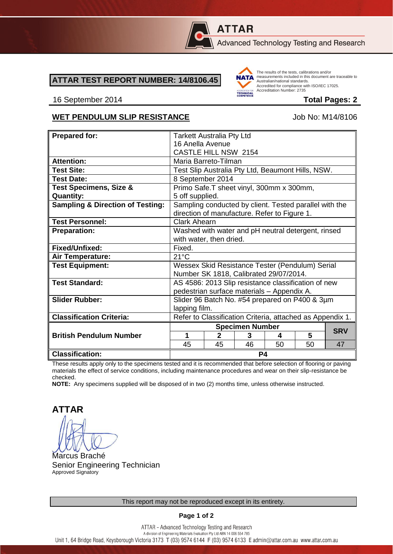

# **ATTAR**

Advanced Technology Testing and Research

### **ATTAR TEST REPORT NUMBER: 14/8106.45**



The results of the tests, calibrations and/or measurements included in this document are traceable to Australian/national standards. Accredited for compliance with ISO/IEC 17025. Accreditation Number: 2735

#### 16 September 2014 **Total Pages: 2**

## WET PENDULUM SLIP RESISTANCE Job No: M14/8106

| <b>Prepared for:</b>                        | <b>Tarkett Australia Pty Ltd</b>                                                                       |                |    |    |    |            |
|---------------------------------------------|--------------------------------------------------------------------------------------------------------|----------------|----|----|----|------------|
|                                             | 16 Anella Avenue                                                                                       |                |    |    |    |            |
|                                             | <b>CASTLE HILL NSW 2154</b>                                                                            |                |    |    |    |            |
| <b>Attention:</b>                           | Maria Barreto-Tilman                                                                                   |                |    |    |    |            |
| <b>Test Site:</b>                           | Test Slip Australia Pty Ltd, Beaumont Hills, NSW.                                                      |                |    |    |    |            |
| <b>Test Date:</b>                           | 8 September 2014                                                                                       |                |    |    |    |            |
| <b>Test Specimens, Size &amp;</b>           | Primo Safe.T sheet vinyl, 300mm x 300mm,                                                               |                |    |    |    |            |
| <b>Quantity:</b>                            | 5 off supplied.                                                                                        |                |    |    |    |            |
| <b>Sampling &amp; Direction of Testing:</b> | Sampling conducted by client. Tested parallel with the<br>direction of manufacture. Refer to Figure 1. |                |    |    |    |            |
| <b>Test Personnel:</b>                      | <b>Clark Ahearn</b>                                                                                    |                |    |    |    |            |
| <b>Preparation:</b>                         | Washed with water and pH neutral detergent, rinsed                                                     |                |    |    |    |            |
|                                             | with water, then dried.                                                                                |                |    |    |    |            |
| Fixed/Unfixed:                              | Fixed.                                                                                                 |                |    |    |    |            |
| Air Temperature:                            | $21^{\circ}$ C                                                                                         |                |    |    |    |            |
| <b>Test Equipment:</b>                      | Wessex Skid Resistance Tester (Pendulum) Serial                                                        |                |    |    |    |            |
|                                             | Number SK 1818, Calibrated 29/07/2014.                                                                 |                |    |    |    |            |
| <b>Test Standard:</b>                       | AS 4586: 2013 Slip resistance classification of new                                                    |                |    |    |    |            |
|                                             | pedestrian surface materials - Appendix A.                                                             |                |    |    |    |            |
| <b>Slider Rubber:</b>                       | Slider 96 Batch No. #54 prepared on P400 & 3µm                                                         |                |    |    |    |            |
|                                             | lapping film.                                                                                          |                |    |    |    |            |
| <b>Classification Criteria:</b>             | Refer to Classification Criteria, attached as Appendix 1.                                              |                |    |    |    |            |
|                                             | <b>Specimen Number</b>                                                                                 |                |    |    |    |            |
| <b>British Pendulum Number</b>              | 1                                                                                                      | $\mathfrak{p}$ | 3  | 4  | 5  | <b>SRV</b> |
|                                             | 45                                                                                                     | 45             | 46 | 50 | 50 | 47         |
| <b>Classification:</b>                      | P4                                                                                                     |                |    |    |    |            |

These results apply only to the specimens tested and it is recommended that before selection of flooring or paving materials the effect of service conditions, including maintenance procedures and wear on their slip-resistance be checked.

**NOTE:** Any specimens supplied will be disposed of in two (2) months time, unless otherwise instructed.

**ATTAR**

Marcus Braché Senior Engineering Technician Approved Signatory